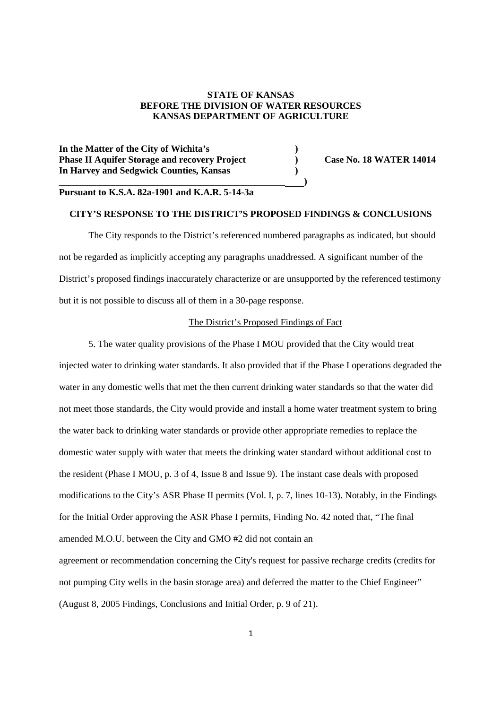## **STATE OF KANSAS BEFORE THE DIVISION OF WATER RESOURCES KANSAS DEPARTMENT OF AGRICULTURE**

**In the Matter of the City of Wichita's ) Phase II Aquifer Storage and recovery Project** (a) Case No. 18 WATER 14014 **In Harvey and Sedgwick Counties, Kansas )**

# **Pursuant to K.S.A. 82a-1901 and K.A.R. 5-14-3a**

**\_\_\_\_\_\_\_\_\_\_\_\_\_\_\_\_\_\_\_\_\_\_\_\_\_\_\_\_\_\_\_\_\_\_\_\_\_\_\_\_\_\_\_\_\_\_\_\_ )**

### **CITY'S RESPONSE TO THE DISTRICT'S PROPOSED FINDINGS & CONCLUSIONS**

The City responds to the District's referenced numbered paragraphs as indicated, but should not be regarded as implicitly accepting any paragraphs unaddressed. A significant number of the District's proposed findings inaccurately characterize or are unsupported by the referenced testimony but it is not possible to discuss all of them in a 30-page response.

#### The District's Proposed Findings of Fact

5. The water quality provisions of the Phase I MOU provided that the City would treat injected water to drinking water standards. It also provided that if the Phase I operations degraded the water in any domestic wells that met the then current drinking water standards so that the water did not meet those standards, the City would provide and install a home water treatment system to bring the water back to drinking water standards or provide other appropriate remedies to replace the domestic water supply with water that meets the drinking water standard without additional cost to the resident (Phase I MOU, p. 3 of 4, Issue 8 and Issue 9). The instant case deals with proposed modifications to the City's ASR Phase II permits (Vol. I, p. 7, lines 10-13). Notably, in the Findings for the Initial Order approving the ASR Phase I permits, Finding No. 42 noted that, "The final amended M.O.U. between the City and GMO #2 did not contain an agreement or recommendation concerning the City's request for passive recharge credits (credits for not pumping City wells in the basin storage area) and deferred the matter to the Chief Engineer" (August 8, 2005 Findings, Conclusions and Initial Order, p. 9 of 21).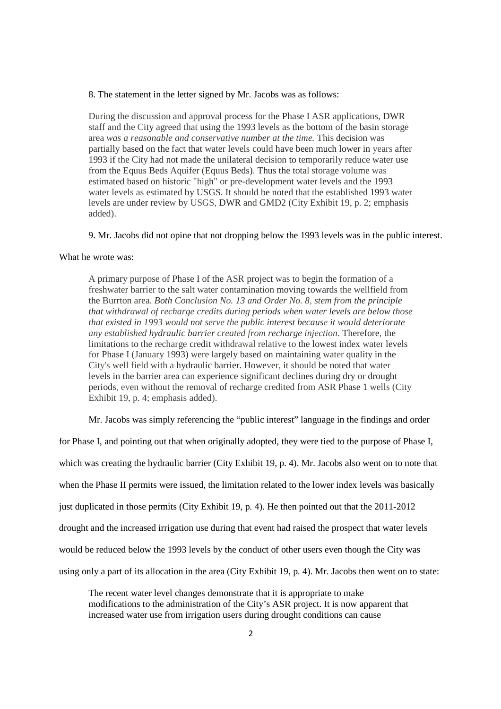#### 8. The statement in the letter signed by Mr. Jacobs was as follows:

During the discussion and approval process for the Phase I ASR applications, DWR staff and the City agreed that using the 1993 levels as the bottom of the basin storage area *was a reasonable and conservative number at the time.* This decision was partially based on the fact that water levels could have been much lower in years after 1993 if the City had not made the unilateral decision to temporarily reduce water use from the Equus Beds Aquifer (Equus Beds). Thus the total storage volume was estimated based on historic "high" or pre-development water levels and the 1993 water levels as estimated by USGS. It should be noted that the established 1993 water levels are under review by USGS, DWR and GMD2 (City Exhibit 19, p. 2; emphasis added).

9. Mr. Jacobs did not opine that not dropping below the 1993 levels was in the public interest.

## What he wrote was:

A primary purpose of Phase I of the ASR project was to begin the formation of a freshwater barrier to the salt water contamination moving towards the wellfield from the Burrton area. *Both Conclusion No. 13 and Order No. 8, stem from the principle that withdrawal of recharge credits during periods when water levels are below those that existed in 1993 would not serve the public interest because it would deteriorate any established hydraulic barrier created from recharge injection*. Therefore, the limitations to the recharge credit withdrawal relative to the lowest index water levels for Phase I (January 1993) were largely based on maintaining water quality in the City's well field with a hydraulic barrier. However, it should be noted that water levels in the barrier area can experience significant declines during dry or drought periods, even without the removal of recharge credited from ASR Phase 1 wells (City Exhibit 19, p. 4; emphasis added).

Mr. Jacobs was simply referencing the "public interest" language in the findings and order

for Phase I, and pointing out that when originally adopted, they were tied to the purpose of Phase I, which was creating the hydraulic barrier (City Exhibit 19, p. 4). Mr. Jacobs also went on to note that when the Phase II permits were issued, the limitation related to the lower index levels was basically just duplicated in those permits (City Exhibit 19, p. 4). He then pointed out that the 2011-2012 drought and the increased irrigation use during that event had raised the prospect that water levels would be reduced below the 1993 levels by the conduct of other users even though the City was using only a part of its allocation in the area (City Exhibit 19, p. 4). Mr. Jacobs then went on to state:

The recent water level changes demonstrate that it is appropriate to make modifications to the administration of the City's ASR project. It is now apparent that increased water use from irrigation users during drought conditions can cause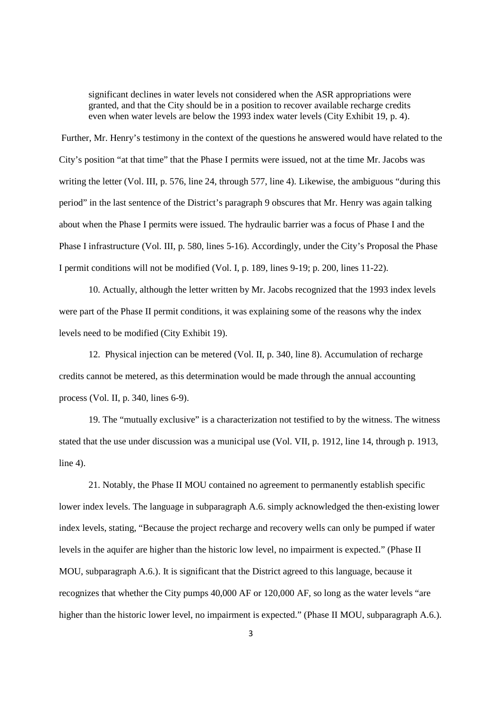significant declines in water levels not considered when the ASR appropriations were granted, and that the City should be in a position to recover available recharge credits even when water levels are below the 1993 index water levels (City Exhibit 19, p. 4).

Further, Mr. Henry's testimony in the context of the questions he answered would have related to the City's position "at that time" that the Phase I permits were issued, not at the time Mr. Jacobs was writing the letter (Vol. III, p. 576, line 24, through 577, line 4). Likewise, the ambiguous "during this period" in the last sentence of the District's paragraph 9 obscures that Mr. Henry was again talking about when the Phase I permits were issued. The hydraulic barrier was a focus of Phase I and the Phase I infrastructure (Vol. III, p. 580, lines 5-16). Accordingly, under the City's Proposal the Phase I permit conditions will not be modified (Vol. I, p. 189, lines 9-19; p. 200, lines 11-22).

10. Actually, although the letter written by Mr. Jacobs recognized that the 1993 index levels were part of the Phase II permit conditions, it was explaining some of the reasons why the index levels need to be modified (City Exhibit 19).

12. Physical injection can be metered (Vol. II, p. 340, line 8). Accumulation of recharge credits cannot be metered, as this determination would be made through the annual accounting process (Vol. II, p. 340, lines 6-9).

19. The "mutually exclusive" is a characterization not testified to by the witness. The witness stated that the use under discussion was a municipal use (Vol. VII, p. 1912, line 14, through p. 1913, line 4).

21. Notably, the Phase II MOU contained no agreement to permanently establish specific lower index levels. The language in subparagraph A.6. simply acknowledged the then-existing lower index levels, stating, "Because the project recharge and recovery wells can only be pumped if water levels in the aquifer are higher than the historic low level, no impairment is expected." (Phase II MOU, subparagraph A.6.). It is significant that the District agreed to this language, because it recognizes that whether the City pumps 40,000 AF or 120,000 AF, so long as the water levels "are higher than the historic lower level, no impairment is expected." (Phase II MOU, subparagraph A.6.).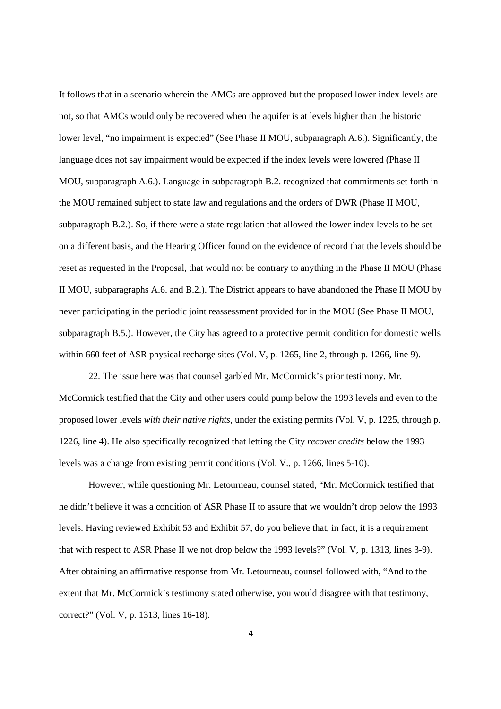It follows that in a scenario wherein the AMCs are approved but the proposed lower index levels are not, so that AMCs would only be recovered when the aquifer is at levels higher than the historic lower level, "no impairment is expected" (See Phase II MOU, subparagraph A.6.). Significantly, the language does not say impairment would be expected if the index levels were lowered (Phase II MOU, subparagraph A.6.). Language in subparagraph B.2. recognized that commitments set forth in the MOU remained subject to state law and regulations and the orders of DWR (Phase II MOU, subparagraph B.2.). So, if there were a state regulation that allowed the lower index levels to be set on a different basis, and the Hearing Officer found on the evidence of record that the levels should be reset as requested in the Proposal, that would not be contrary to anything in the Phase II MOU (Phase II MOU, subparagraphs A.6. and B.2.). The District appears to have abandoned the Phase II MOU by never participating in the periodic joint reassessment provided for in the MOU (See Phase II MOU, subparagraph B.5.). However, the City has agreed to a protective permit condition for domestic wells within 660 feet of ASR physical recharge sites (Vol. V, p. 1265, line 2, through p. 1266, line 9).

22. The issue here was that counsel garbled Mr. McCormick's prior testimony. Mr. McCormick testified that the City and other users could pump below the 1993 levels and even to the proposed lower levels *with their native rights*, under the existing permits (Vol. V, p. 1225, through p. 1226, line 4). He also specifically recognized that letting the City *recover credits* below the 1993 levels was a change from existing permit conditions (Vol. V., p. 1266, lines 5-10).

However, while questioning Mr. Letourneau, counsel stated, "Mr. McCormick testified that he didn't believe it was a condition of ASR Phase II to assure that we wouldn't drop below the 1993 levels. Having reviewed Exhibit 53 and Exhibit 57, do you believe that, in fact, it is a requirement that with respect to ASR Phase II we not drop below the 1993 levels?" (Vol. V, p. 1313, lines 3-9). After obtaining an affirmative response from Mr. Letourneau, counsel followed with, "And to the extent that Mr. McCormick's testimony stated otherwise, you would disagree with that testimony, correct?" (Vol. V, p. 1313, lines 16-18).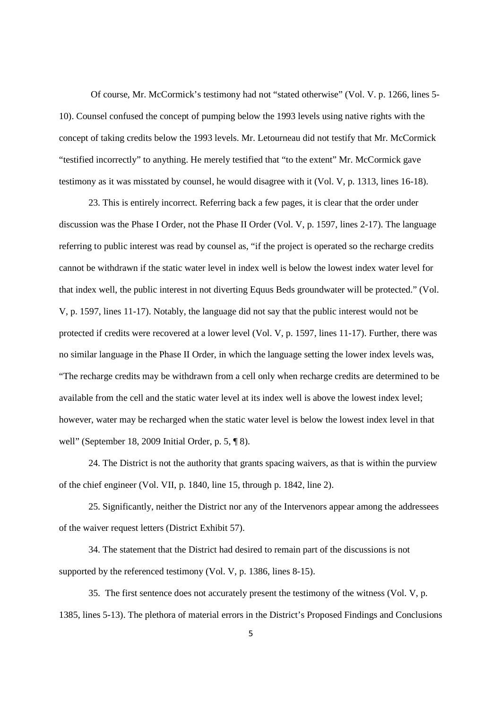Of course, Mr. McCormick's testimony had not "stated otherwise" (Vol. V. p. 1266, lines 5- 10). Counsel confused the concept of pumping below the 1993 levels using native rights with the concept of taking credits below the 1993 levels. Mr. Letourneau did not testify that Mr. McCormick "testified incorrectly" to anything. He merely testified that "to the extent" Mr. McCormick gave testimony as it was misstated by counsel, he would disagree with it (Vol. V, p. 1313, lines 16-18).

23. This is entirely incorrect. Referring back a few pages, it is clear that the order under discussion was the Phase I Order, not the Phase II Order (Vol. V, p. 1597, lines 2-17). The language referring to public interest was read by counsel as, "if the project is operated so the recharge credits cannot be withdrawn if the static water level in index well is below the lowest index water level for that index well, the public interest in not diverting Equus Beds groundwater will be protected." (Vol. V, p. 1597, lines 11-17). Notably, the language did not say that the public interest would not be protected if credits were recovered at a lower level (Vol. V, p. 1597, lines 11-17). Further, there was no similar language in the Phase II Order, in which the language setting the lower index levels was, "The recharge credits may be withdrawn from a cell only when recharge credits are determined to be available from the cell and the static water level at its index well is above the lowest index level; however, water may be recharged when the static water level is below the lowest index level in that well" (September 18, 2009 Initial Order, p. 5, ¶ 8).

24. The District is not the authority that grants spacing waivers, as that is within the purview of the chief engineer (Vol. VII, p. 1840, line 15, through p. 1842, line 2).

25. Significantly, neither the District nor any of the Intervenors appear among the addressees of the waiver request letters (District Exhibit 57).

34. The statement that the District had desired to remain part of the discussions is not supported by the referenced testimony (Vol. V, p. 1386, lines 8-15).

35. The first sentence does not accurately present the testimony of the witness (Vol. V, p. 1385, lines 5-13). The plethora of material errors in the District's Proposed Findings and Conclusions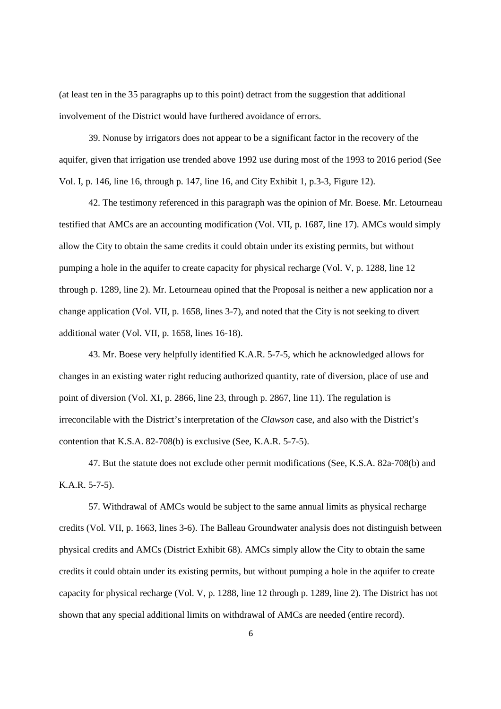(at least ten in the 35 paragraphs up to this point) detract from the suggestion that additional involvement of the District would have furthered avoidance of errors.

39. Nonuse by irrigators does not appear to be a significant factor in the recovery of the aquifer, given that irrigation use trended above 1992 use during most of the 1993 to 2016 period (See Vol. I, p. 146, line 16, through p. 147, line 16, and City Exhibit 1, p.3-3, Figure 12).

42. The testimony referenced in this paragraph was the opinion of Mr. Boese. Mr. Letourneau testified that AMCs are an accounting modification (Vol. VII, p. 1687, line 17). AMCs would simply allow the City to obtain the same credits it could obtain under its existing permits, but without pumping a hole in the aquifer to create capacity for physical recharge (Vol. V, p. 1288, line 12 through p. 1289, line 2). Mr. Letourneau opined that the Proposal is neither a new application nor a change application (Vol. VII, p. 1658, lines 3-7), and noted that the City is not seeking to divert additional water (Vol. VII, p. 1658, lines 16-18).

43. Mr. Boese very helpfully identified K.A.R. 5-7-5, which he acknowledged allows for changes in an existing water right reducing authorized quantity, rate of diversion, place of use and point of diversion (Vol. XI, p. 2866, line 23, through p. 2867, line 11). The regulation is irreconcilable with the District's interpretation of the *Clawson* case, and also with the District's contention that K.S.A. 82-708(b) is exclusive (See, K.A.R. 5-7-5).

47. But the statute does not exclude other permit modifications (See, K.S.A. 82a-708(b) and K.A.R. 5-7-5).

57. Withdrawal of AMCs would be subject to the same annual limits as physical recharge credits (Vol. VII, p. 1663, lines 3-6). The Balleau Groundwater analysis does not distinguish between physical credits and AMCs (District Exhibit 68). AMCs simply allow the City to obtain the same credits it could obtain under its existing permits, but without pumping a hole in the aquifer to create capacity for physical recharge (Vol. V, p. 1288, line 12 through p. 1289, line 2). The District has not shown that any special additional limits on withdrawal of AMCs are needed (entire record).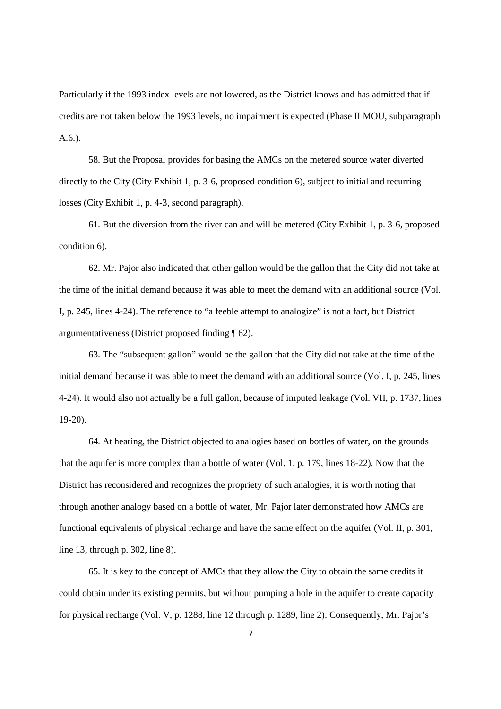Particularly if the 1993 index levels are not lowered, as the District knows and has admitted that if credits are not taken below the 1993 levels, no impairment is expected (Phase II MOU, subparagraph  $A.6.$ ).

58. But the Proposal provides for basing the AMCs on the metered source water diverted directly to the City (City Exhibit 1, p. 3-6, proposed condition 6), subject to initial and recurring losses (City Exhibit 1, p. 4-3, second paragraph).

61. But the diversion from the river can and will be metered (City Exhibit 1, p. 3-6, proposed condition 6).

62. Mr. Pajor also indicated that other gallon would be the gallon that the City did not take at the time of the initial demand because it was able to meet the demand with an additional source (Vol. I, p. 245, lines 4-24). The reference to "a feeble attempt to analogize" is not a fact, but District argumentativeness (District proposed finding ¶ 62).

63. The "subsequent gallon" would be the gallon that the City did not take at the time of the initial demand because it was able to meet the demand with an additional source (Vol. I, p. 245, lines 4-24). It would also not actually be a full gallon, because of imputed leakage (Vol. VII, p. 1737, lines 19-20).

64. At hearing, the District objected to analogies based on bottles of water, on the grounds that the aquifer is more complex than a bottle of water (Vol. 1, p. 179, lines 18-22). Now that the District has reconsidered and recognizes the propriety of such analogies, it is worth noting that through another analogy based on a bottle of water, Mr. Pajor later demonstrated how AMCs are functional equivalents of physical recharge and have the same effect on the aquifer (Vol. II, p. 301, line 13, through p. 302, line 8).

65. It is key to the concept of AMCs that they allow the City to obtain the same credits it could obtain under its existing permits, but without pumping a hole in the aquifer to create capacity for physical recharge (Vol. V, p. 1288, line 12 through p. 1289, line 2). Consequently, Mr. Pajor's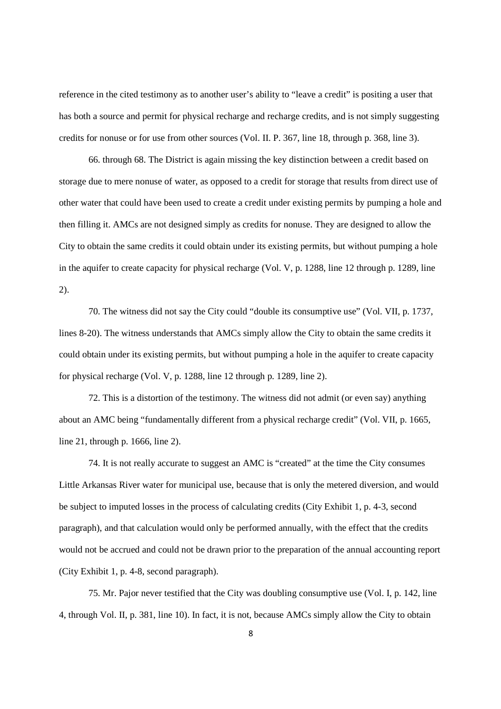reference in the cited testimony as to another user's ability to "leave a credit" is positing a user that has both a source and permit for physical recharge and recharge credits, and is not simply suggesting credits for nonuse or for use from other sources (Vol. II. P. 367, line 18, through p. 368, line 3).

66. through 68. The District is again missing the key distinction between a credit based on storage due to mere nonuse of water, as opposed to a credit for storage that results from direct use of other water that could have been used to create a credit under existing permits by pumping a hole and then filling it. AMCs are not designed simply as credits for nonuse. They are designed to allow the City to obtain the same credits it could obtain under its existing permits, but without pumping a hole in the aquifer to create capacity for physical recharge (Vol. V, p. 1288, line 12 through p. 1289, line 2).

70. The witness did not say the City could "double its consumptive use" (Vol. VII, p. 1737, lines 8-20). The witness understands that AMCs simply allow the City to obtain the same credits it could obtain under its existing permits, but without pumping a hole in the aquifer to create capacity for physical recharge (Vol. V, p. 1288, line 12 through p. 1289, line 2).

72. This is a distortion of the testimony. The witness did not admit (or even say) anything about an AMC being "fundamentally different from a physical recharge credit" (Vol. VII, p. 1665, line 21, through p. 1666, line 2).

74. It is not really accurate to suggest an AMC is "created" at the time the City consumes Little Arkansas River water for municipal use, because that is only the metered diversion, and would be subject to imputed losses in the process of calculating credits (City Exhibit 1, p. 4-3, second paragraph), and that calculation would only be performed annually, with the effect that the credits would not be accrued and could not be drawn prior to the preparation of the annual accounting report (City Exhibit 1, p. 4-8, second paragraph).

75. Mr. Pajor never testified that the City was doubling consumptive use (Vol. I, p. 142, line 4, through Vol. II, p. 381, line 10). In fact, it is not, because AMCs simply allow the City to obtain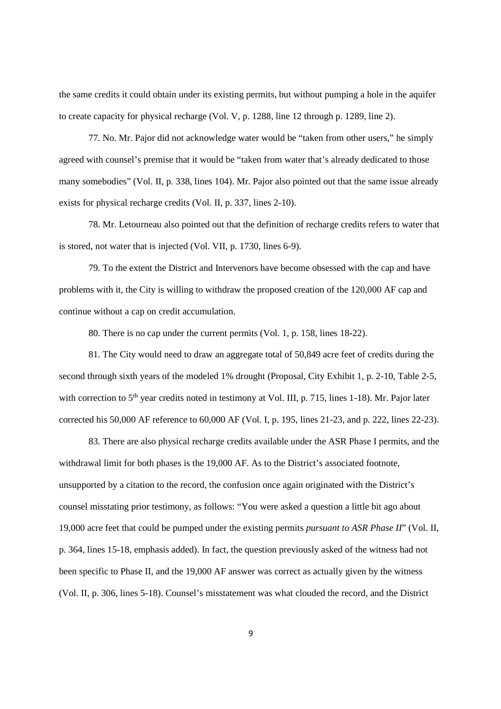the same credits it could obtain under its existing permits, but without pumping a hole in the aquifer to create capacity for physical recharge (Vol. V, p. 1288, line 12 through p. 1289, line 2).

77. No. Mr. Pajor did not acknowledge water would be "taken from other users," he simply agreed with counsel's premise that it would be "taken from water that's already dedicated to those many somebodies" (Vol. II, p. 338, lines 104). Mr. Pajor also pointed out that the same issue already exists for physical recharge credits (Vol. II, p. 337, lines 2-10).

78. Mr. Letourneau also pointed out that the definition of recharge credits refers to water that is stored, not water that is injected (Vol. VII, p. 1730, lines 6-9).

79. To the extent the District and Intervenors have become obsessed with the cap and have problems with it, the City is willing to withdraw the proposed creation of the 120,000 AF cap and continue without a cap on credit accumulation.

80. There is no cap under the current permits (Vol. 1, p. 158, lines 18-22).

81. The City would need to draw an aggregate total of 50,849 acre feet of credits during the second through sixth years of the modeled 1% drought (Proposal, City Exhibit 1, p. 2-10, Table 2-5, with correction to  $5<sup>th</sup>$  year credits noted in testimony at Vol. III, p. 715, lines 1-18). Mr. Pajor later corrected his 50,000 AF reference to 60,000 AF (Vol. I, p. 195, lines 21-23, and p. 222, lines 22-23).

83. There are also physical recharge credits available under the ASR Phase I permits, and the withdrawal limit for both phases is the 19,000 AF. As to the District's associated footnote, unsupported by a citation to the record, the confusion once again originated with the District's counsel misstating prior testimony, as follows: "You were asked a question a little bit ago about 19,000 acre feet that could be pumped under the existing permits *pursuant to ASR Phase II*" (Vol. II, p. 364, lines 15-18, emphasis added). In fact, the question previously asked of the witness had not been specific to Phase II, and the 19,000 AF answer was correct as actually given by the witness (Vol. II, p. 306, lines 5-18). Counsel's misstatement was what clouded the record, and the District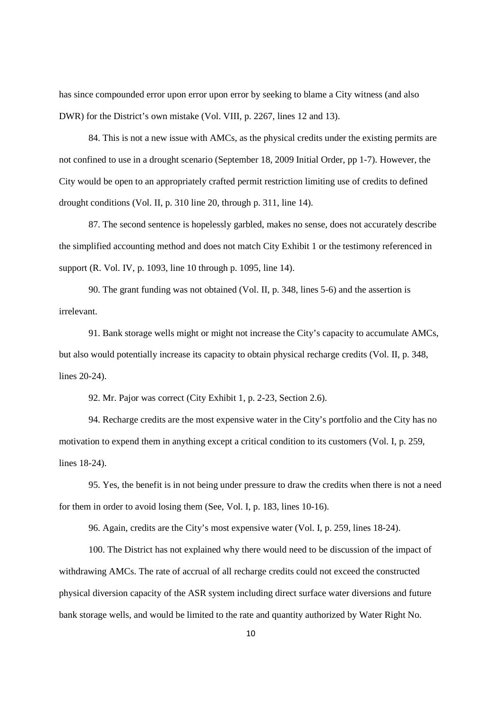has since compounded error upon error upon error by seeking to blame a City witness (and also DWR) for the District's own mistake (Vol. VIII, p. 2267, lines 12 and 13).

84. This is not a new issue with AMCs, as the physical credits under the existing permits are not confined to use in a drought scenario (September 18, 2009 Initial Order, pp 1-7). However, the City would be open to an appropriately crafted permit restriction limiting use of credits to defined drought conditions (Vol. II, p. 310 line 20, through p. 311, line 14).

87. The second sentence is hopelessly garbled, makes no sense, does not accurately describe the simplified accounting method and does not match City Exhibit 1 or the testimony referenced in support (R. Vol. IV, p. 1093, line 10 through p. 1095, line 14).

90. The grant funding was not obtained (Vol. II, p. 348, lines 5-6) and the assertion is irrelevant.

91. Bank storage wells might or might not increase the City's capacity to accumulate AMCs, but also would potentially increase its capacity to obtain physical recharge credits (Vol. II, p. 348, lines 20-24).

92. Mr. Pajor was correct (City Exhibit 1, p. 2-23, Section 2.6).

94. Recharge credits are the most expensive water in the City's portfolio and the City has no motivation to expend them in anything except a critical condition to its customers (Vol. I, p. 259, lines 18-24).

95. Yes, the benefit is in not being under pressure to draw the credits when there is not a need for them in order to avoid losing them (See, Vol. I, p. 183, lines 10-16).

96. Again, credits are the City's most expensive water (Vol. I, p. 259, lines 18-24).

100. The District has not explained why there would need to be discussion of the impact of withdrawing AMCs. The rate of accrual of all recharge credits could not exceed the constructed physical diversion capacity of the ASR system including direct surface water diversions and future bank storage wells, and would be limited to the rate and quantity authorized by Water Right No.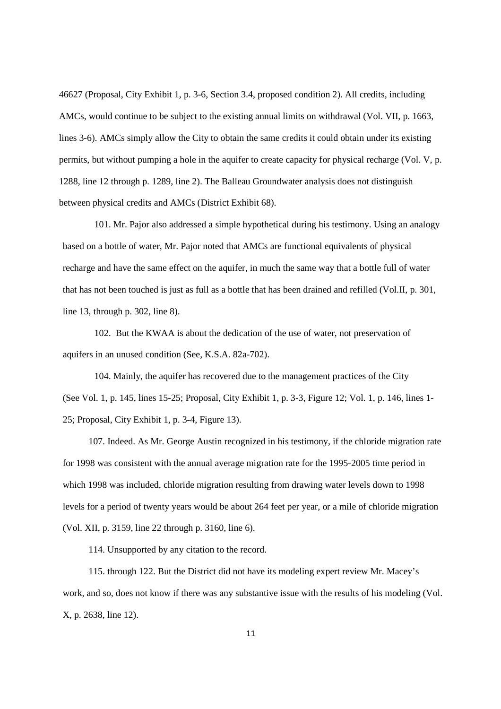46627 (Proposal, City Exhibit 1, p. 3-6, Section 3.4, proposed condition 2). All credits, including AMCs, would continue to be subject to the existing annual limits on withdrawal (Vol. VII, p. 1663, lines 3-6). AMCs simply allow the City to obtain the same credits it could obtain under its existing permits, but without pumping a hole in the aquifer to create capacity for physical recharge (Vol. V, p. 1288, line 12 through p. 1289, line 2). The Balleau Groundwater analysis does not distinguish between physical credits and AMCs (District Exhibit 68).

101. Mr. Pajor also addressed a simple hypothetical during his testimony. Using an analogy based on a bottle of water, Mr. Pajor noted that AMCs are functional equivalents of physical recharge and have the same effect on the aquifer, in much the same way that a bottle full of water that has not been touched is just as full as a bottle that has been drained and refilled (Vol.II, p. 301, line 13, through p. 302, line 8).

102. But the KWAA is about the dedication of the use of water, not preservation of aquifers in an unused condition (See, K.S.A. 82a-702).

104. Mainly, the aquifer has recovered due to the management practices of the City (See Vol. 1, p. 145, lines 15-25; Proposal, City Exhibit 1, p. 3-3, Figure 12; Vol. 1, p. 146, lines 1- 25; Proposal, City Exhibit 1, p. 3-4, Figure 13).

107. Indeed. As Mr. George Austin recognized in his testimony, if the chloride migration rate for 1998 was consistent with the annual average migration rate for the 1995-2005 time period in which 1998 was included, chloride migration resulting from drawing water levels down to 1998 levels for a period of twenty years would be about 264 feet per year, or a mile of chloride migration (Vol. XII, p. 3159, line 22 through p. 3160, line 6).

114. Unsupported by any citation to the record.

115. through 122. But the District did not have its modeling expert review Mr. Macey's work, and so, does not know if there was any substantive issue with the results of his modeling (Vol. X, p. 2638, line 12).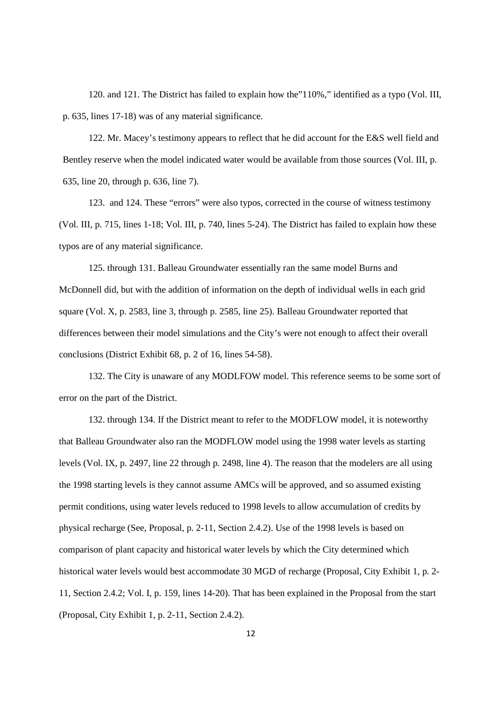120. and 121. The District has failed to explain how the"110%," identified as a typo (Vol. III, p. 635, lines 17-18) was of any material significance.

122. Mr. Macey's testimony appears to reflect that he did account for the E&S well field and Bentley reserve when the model indicated water would be available from those sources (Vol. III, p. 635, line 20, through p. 636, line 7).

123. and 124. These "errors" were also typos, corrected in the course of witness testimony (Vol. III, p. 715, lines 1-18; Vol. III, p. 740, lines 5-24). The District has failed to explain how these typos are of any material significance.

125. through 131. Balleau Groundwater essentially ran the same model Burns and McDonnell did, but with the addition of information on the depth of individual wells in each grid square (Vol. X, p. 2583, line 3, through p. 2585, line 25). Balleau Groundwater reported that differences between their model simulations and the City's were not enough to affect their overall conclusions (District Exhibit 68, p. 2 of 16, lines 54-58).

132. The City is unaware of any MODLFOW model. This reference seems to be some sort of error on the part of the District.

132. through 134. If the District meant to refer to the MODFLOW model, it is noteworthy that Balleau Groundwater also ran the MODFLOW model using the 1998 water levels as starting levels (Vol. IX, p. 2497, line 22 through p. 2498, line 4). The reason that the modelers are all using the 1998 starting levels is they cannot assume AMCs will be approved, and so assumed existing permit conditions, using water levels reduced to 1998 levels to allow accumulation of credits by physical recharge (See, Proposal, p. 2-11, Section 2.4.2). Use of the 1998 levels is based on comparison of plant capacity and historical water levels by which the City determined which historical water levels would best accommodate 30 MGD of recharge (Proposal, City Exhibit 1, p. 2- 11, Section 2.4.2; Vol. I, p. 159, lines 14-20). That has been explained in the Proposal from the start (Proposal, City Exhibit 1, p. 2-11, Section 2.4.2).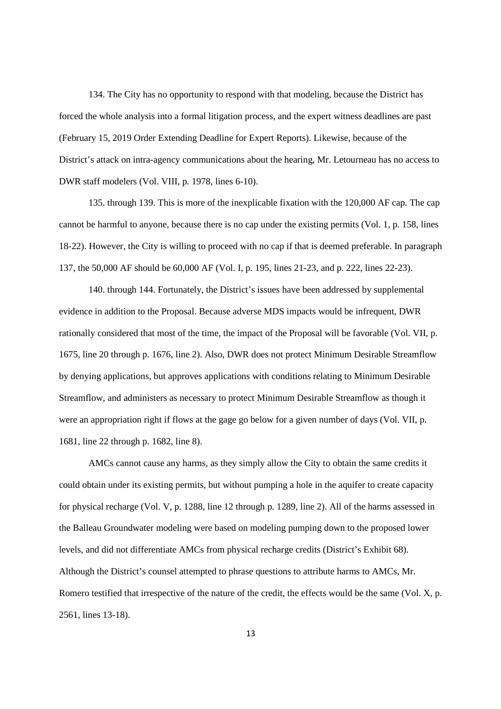134. The City has no opportunity to respond with that modeling, because the District has forced the whole analysis into a formal litigation process, and the expert witness deadlines are past (February 15, 2019 Order Extending Deadline for Expert Reports). Likewise, because of the District's attack on intra-agency communications about the hearing, Mr. Letourneau has no access to DWR staff modelers (Vol. VIII, p. 1978, lines 6-10).

135. through 139. This is more of the inexplicable fixation with the 120,000 AF cap. The cap cannot be harmful to anyone, because there is no cap under the existing permits (Vol. 1, p. 158, lines 18-22). However, the City is willing to proceed with no cap if that is deemed preferable. In paragraph 137, the 50,000 AF should be 60,000 AF (Vol. I, p. 195, lines 21-23, and p. 222, lines 22-23).

140. through 144. Fortunately, the District's issues have been addressed by supplemental evidence in addition to the Proposal. Because adverse MDS impacts would be infrequent, DWR rationally considered that most of the time, the impact of the Proposal will be favorable (Vol. VII, p. 1675, line 20 through p. 1676, line 2). Also, DWR does not protect Minimum Desirable Streamflow by denying applications, but approves applications with conditions relating to Minimum Desirable Streamflow, and administers as necessary to protect Minimum Desirable Streamflow as though it were an appropriation right if flows at the gage go below for a given number of days (Vol. VII, p. 1681, line 22 through p. 1682, line 8).

AMCs cannot cause any harms, as they simply allow the City to obtain the same credits it could obtain under its existing permits, but without pumping a hole in the aquifer to create capacity for physical recharge (Vol. V, p. 1288, line 12 through p. 1289, line 2). All of the harms assessed in the Balleau Groundwater modeling were based on modeling pumping down to the proposed lower levels, and did not differentiate AMCs from physical recharge credits (District's Exhibit 68). Although the District's counsel attempted to phrase questions to attribute harms to AMCs, Mr. Romero testified that irrespective of the nature of the credit, the effects would be the same (Vol. X, p. 2561, lines 13-18).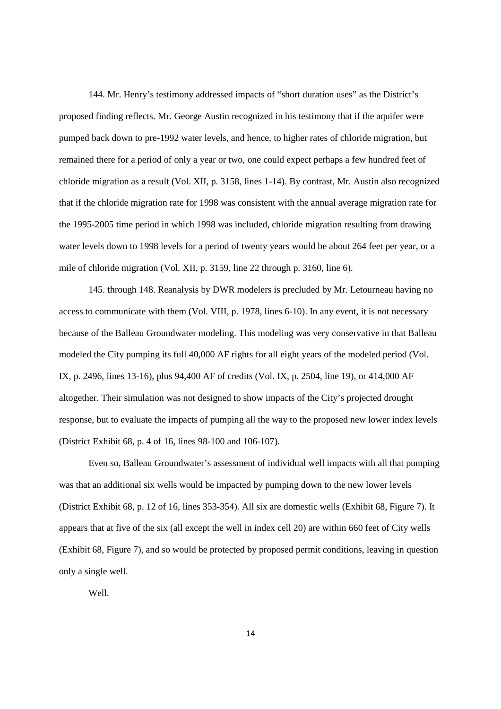144. Mr. Henry's testimony addressed impacts of "short duration uses" as the District's proposed finding reflects. Mr. George Austin recognized in his testimony that if the aquifer were pumped back down to pre-1992 water levels, and hence, to higher rates of chloride migration, but remained there for a period of only a year or two, one could expect perhaps a few hundred feet of chloride migration as a result (Vol. XII, p. 3158, lines 1-14). By contrast, Mr. Austin also recognized that if the chloride migration rate for 1998 was consistent with the annual average migration rate for the 1995-2005 time period in which 1998 was included, chloride migration resulting from drawing water levels down to 1998 levels for a period of twenty years would be about 264 feet per year, or a mile of chloride migration (Vol. XII, p. 3159, line 22 through p. 3160, line 6).

145. through 148. Reanalysis by DWR modelers is precluded by Mr. Letourneau having no access to communicate with them (Vol. VIII, p. 1978, lines 6-10). In any event, it is not necessary because of the Balleau Groundwater modeling. This modeling was very conservative in that Balleau modeled the City pumping its full 40,000 AF rights for all eight years of the modeled period (Vol. IX, p. 2496, lines 13-16), plus 94,400 AF of credits (Vol. IX, p. 2504, line 19), or 414,000 AF altogether. Their simulation was not designed to show impacts of the City's projected drought response, but to evaluate the impacts of pumping all the way to the proposed new lower index levels (District Exhibit 68, p. 4 of 16, lines 98-100 and 106-107).

Even so, Balleau Groundwater's assessment of individual well impacts with all that pumping was that an additional six wells would be impacted by pumping down to the new lower levels (District Exhibit 68, p. 12 of 16, lines 353-354). All six are domestic wells (Exhibit 68, Figure 7). It appears that at five of the six (all except the well in index cell 20) are within 660 feet of City wells (Exhibit 68, Figure 7), and so would be protected by proposed permit conditions, leaving in question only a single well.

Well.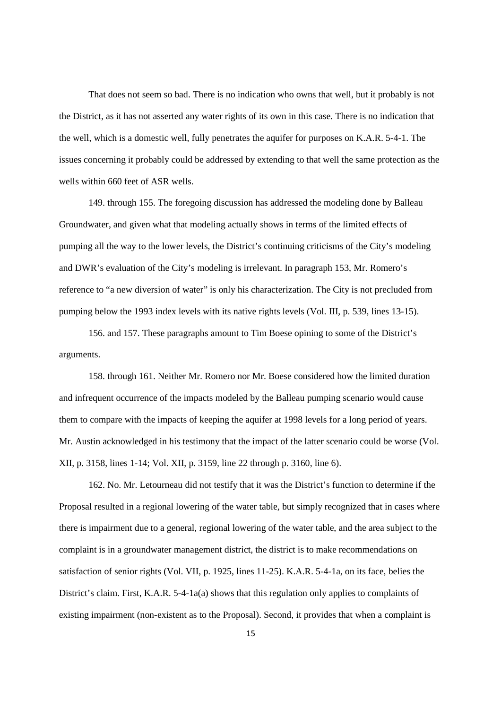That does not seem so bad. There is no indication who owns that well, but it probably is not the District, as it has not asserted any water rights of its own in this case. There is no indication that the well, which is a domestic well, fully penetrates the aquifer for purposes on K.A.R. 5-4-1. The issues concerning it probably could be addressed by extending to that well the same protection as the wells within 660 feet of ASR wells.

149. through 155. The foregoing discussion has addressed the modeling done by Balleau Groundwater, and given what that modeling actually shows in terms of the limited effects of pumping all the way to the lower levels, the District's continuing criticisms of the City's modeling and DWR's evaluation of the City's modeling is irrelevant. In paragraph 153, Mr. Romero's reference to "a new diversion of water" is only his characterization. The City is not precluded from pumping below the 1993 index levels with its native rights levels (Vol. III, p. 539, lines 13-15).

156. and 157. These paragraphs amount to Tim Boese opining to some of the District's arguments.

158. through 161. Neither Mr. Romero nor Mr. Boese considered how the limited duration and infrequent occurrence of the impacts modeled by the Balleau pumping scenario would cause them to compare with the impacts of keeping the aquifer at 1998 levels for a long period of years. Mr. Austin acknowledged in his testimony that the impact of the latter scenario could be worse (Vol. XII, p. 3158, lines 1-14; Vol. XII, p. 3159, line 22 through p. 3160, line 6).

162. No. Mr. Letourneau did not testify that it was the District's function to determine if the Proposal resulted in a regional lowering of the water table, but simply recognized that in cases where there is impairment due to a general, regional lowering of the water table, and the area subject to the complaint is in a groundwater management district, the district is to make recommendations on satisfaction of senior rights (Vol. VII, p. 1925, lines 11-25). K.A.R. 5-4-1a, on its face, belies the District's claim. First, K.A.R. 5-4-1a(a) shows that this regulation only applies to complaints of existing impairment (non-existent as to the Proposal). Second, it provides that when a complaint is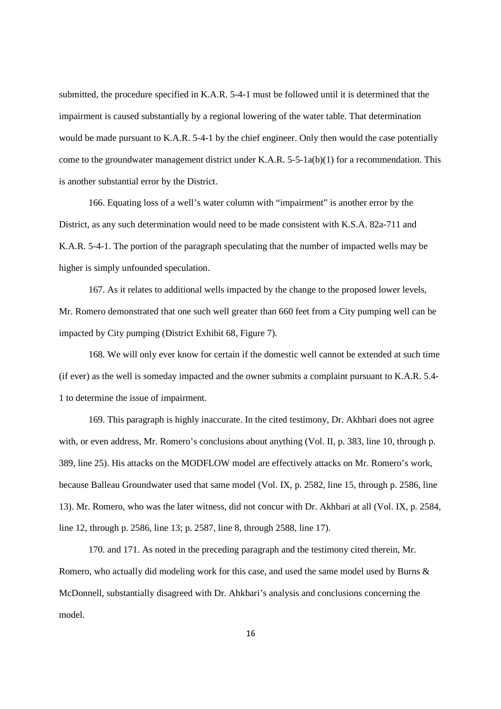submitted, the procedure specified in K.A.R. 5-4-1 must be followed until it is determined that the impairment is caused substantially by a regional lowering of the water table. That determination would be made pursuant to K.A.R. 5-4-1 by the chief engineer. Only then would the case potentially come to the groundwater management district under K.A.R. 5-5-1a(b)(1) for a recommendation. This is another substantial error by the District.

166. Equating loss of a well's water column with "impairment" is another error by the District, as any such determination would need to be made consistent with K.S.A. 82a-711 and K.A.R. 5-4-1. The portion of the paragraph speculating that the number of impacted wells may be higher is simply unfounded speculation.

167. As it relates to additional wells impacted by the change to the proposed lower levels, Mr. Romero demonstrated that one such well greater than 660 feet from a City pumping well can be impacted by City pumping (District Exhibit 68, Figure 7).

168. We will only ever know for certain if the domestic well cannot be extended at such time (if ever) as the well is someday impacted and the owner submits a complaint pursuant to K.A.R. 5.4- 1 to determine the issue of impairment.

169. This paragraph is highly inaccurate. In the cited testimony, Dr. Akhbari does not agree with, or even address, Mr. Romero's conclusions about anything (Vol. II, p. 383, line 10, through p. 389, line 25). His attacks on the MODFLOW model are effectively attacks on Mr. Romero's work, because Balleau Groundwater used that same model (Vol. IX, p. 2582, line 15, through p. 2586, line 13). Mr. Romero, who was the later witness, did not concur with Dr. Akhbari at all (Vol. IX, p. 2584, line 12, through p. 2586, line 13; p. 2587, line 8, through 2588, line 17).

170. and 171. As noted in the preceding paragraph and the testimony cited therein, Mr. Romero, who actually did modeling work for this case, and used the same model used by Burns & McDonnell, substantially disagreed with Dr. Ahkbari's analysis and conclusions concerning the model.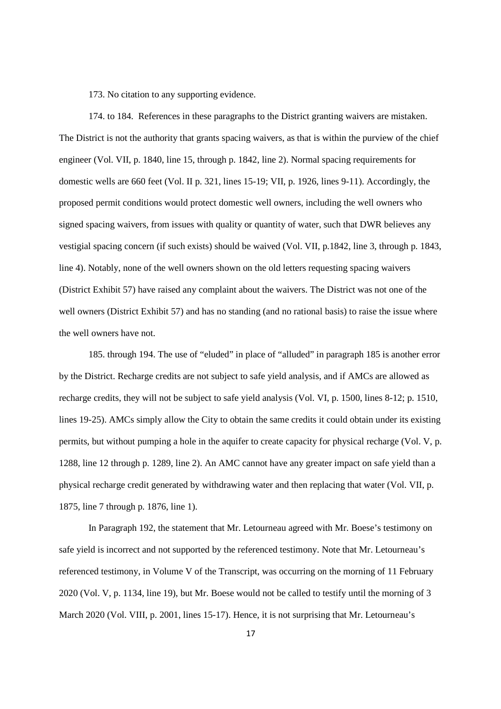173. No citation to any supporting evidence.

174. to 184. References in these paragraphs to the District granting waivers are mistaken. The District is not the authority that grants spacing waivers, as that is within the purview of the chief engineer (Vol. VII, p. 1840, line 15, through p. 1842, line 2). Normal spacing requirements for domestic wells are 660 feet (Vol. II p. 321, lines 15-19; VII, p. 1926, lines 9-11). Accordingly, the proposed permit conditions would protect domestic well owners, including the well owners who signed spacing waivers, from issues with quality or quantity of water, such that DWR believes any vestigial spacing concern (if such exists) should be waived (Vol. VII, p.1842, line 3, through p. 1843, line 4). Notably, none of the well owners shown on the old letters requesting spacing waivers (District Exhibit 57) have raised any complaint about the waivers. The District was not one of the well owners (District Exhibit 57) and has no standing (and no rational basis) to raise the issue where the well owners have not.

185. through 194. The use of "eluded" in place of "alluded" in paragraph 185 is another error by the District. Recharge credits are not subject to safe yield analysis, and if AMCs are allowed as recharge credits, they will not be subject to safe yield analysis (Vol. VI, p. 1500, lines 8-12; p. 1510, lines 19-25). AMCs simply allow the City to obtain the same credits it could obtain under its existing permits, but without pumping a hole in the aquifer to create capacity for physical recharge (Vol. V, p. 1288, line 12 through p. 1289, line 2). An AMC cannot have any greater impact on safe yield than a physical recharge credit generated by withdrawing water and then replacing that water (Vol. VII, p. 1875, line 7 through p. 1876, line 1).

In Paragraph 192, the statement that Mr. Letourneau agreed with Mr. Boese's testimony on safe yield is incorrect and not supported by the referenced testimony. Note that Mr. Letourneau's referenced testimony, in Volume V of the Transcript, was occurring on the morning of 11 February 2020 (Vol. V, p. 1134, line 19), but Mr. Boese would not be called to testify until the morning of 3 March 2020 (Vol. VIII, p. 2001, lines 15-17). Hence, it is not surprising that Mr. Letourneau's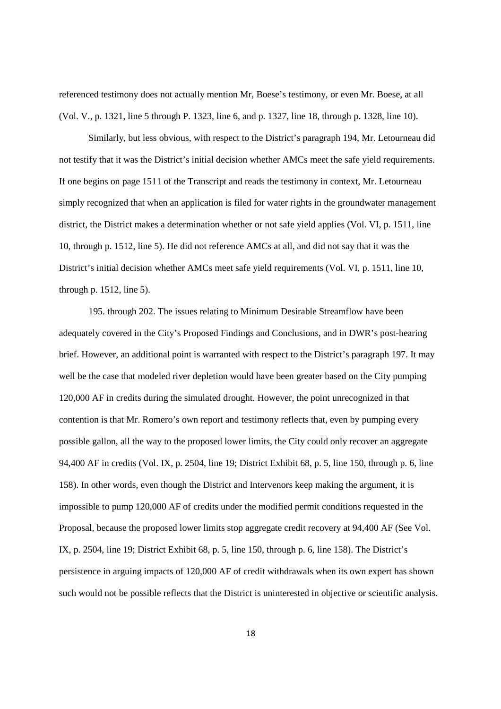referenced testimony does not actually mention Mr, Boese's testimony, or even Mr. Boese, at all (Vol. V., p. 1321, line 5 through P. 1323, line 6, and p. 1327, line 18, through p. 1328, line 10).

Similarly, but less obvious, with respect to the District's paragraph 194, Mr. Letourneau did not testify that it was the District's initial decision whether AMCs meet the safe yield requirements. If one begins on page 1511 of the Transcript and reads the testimony in context, Mr. Letourneau simply recognized that when an application is filed for water rights in the groundwater management district, the District makes a determination whether or not safe yield applies (Vol. VI, p. 1511, line 10, through p. 1512, line 5). He did not reference AMCs at all, and did not say that it was the District's initial decision whether AMCs meet safe yield requirements (Vol. VI, p. 1511, line 10, through p. 1512, line 5).

195. through 202. The issues relating to Minimum Desirable Streamflow have been adequately covered in the City's Proposed Findings and Conclusions, and in DWR's post-hearing brief. However, an additional point is warranted with respect to the District's paragraph 197. It may well be the case that modeled river depletion would have been greater based on the City pumping 120,000 AF in credits during the simulated drought. However, the point unrecognized in that contention is that Mr. Romero's own report and testimony reflects that, even by pumping every possible gallon, all the way to the proposed lower limits, the City could only recover an aggregate 94,400 AF in credits (Vol. IX, p. 2504, line 19; District Exhibit 68, p. 5, line 150, through p. 6, line 158). In other words, even though the District and Intervenors keep making the argument, it is impossible to pump 120,000 AF of credits under the modified permit conditions requested in the Proposal, because the proposed lower limits stop aggregate credit recovery at 94,400 AF (See Vol. IX, p. 2504, line 19; District Exhibit 68, p. 5, line 150, through p. 6, line 158). The District's persistence in arguing impacts of 120,000 AF of credit withdrawals when its own expert has shown such would not be possible reflects that the District is uninterested in objective or scientific analysis.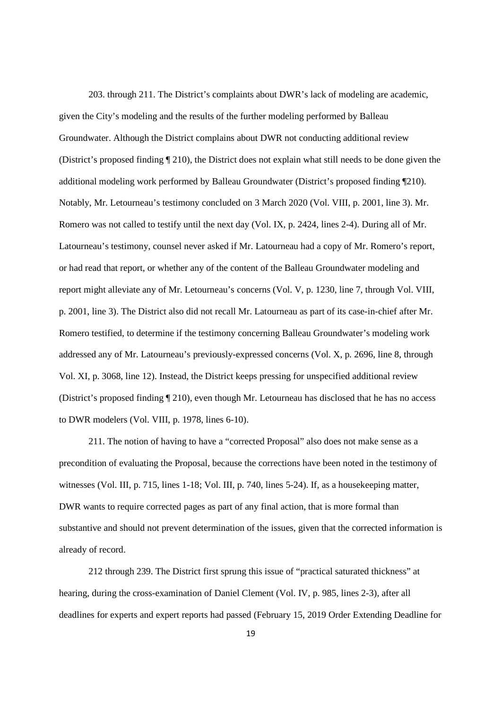203. through 211. The District's complaints about DWR's lack of modeling are academic, given the City's modeling and the results of the further modeling performed by Balleau Groundwater. Although the District complains about DWR not conducting additional review (District's proposed finding ¶ 210), the District does not explain what still needs to be done given the additional modeling work performed by Balleau Groundwater (District's proposed finding ¶210). Notably, Mr. Letourneau's testimony concluded on 3 March 2020 (Vol. VIII, p. 2001, line 3). Mr. Romero was not called to testify until the next day (Vol. IX, p. 2424, lines 2-4). During all of Mr. Latourneau's testimony, counsel never asked if Mr. Latourneau had a copy of Mr. Romero's report, or had read that report, or whether any of the content of the Balleau Groundwater modeling and report might alleviate any of Mr. Letourneau's concerns (Vol. V, p. 1230, line 7, through Vol. VIII, p. 2001, line 3). The District also did not recall Mr. Latourneau as part of its case-in-chief after Mr. Romero testified, to determine if the testimony concerning Balleau Groundwater's modeling work addressed any of Mr. Latourneau's previously-expressed concerns (Vol. X, p. 2696, line 8, through Vol. XI, p. 3068, line 12). Instead, the District keeps pressing for unspecified additional review (District's proposed finding ¶ 210), even though Mr. Letourneau has disclosed that he has no access to DWR modelers (Vol. VIII, p. 1978, lines 6-10).

211. The notion of having to have a "corrected Proposal" also does not make sense as a precondition of evaluating the Proposal, because the corrections have been noted in the testimony of witnesses (Vol. III, p. 715, lines 1-18; Vol. III, p. 740, lines 5-24). If, as a house keeping matter, DWR wants to require corrected pages as part of any final action, that is more formal than substantive and should not prevent determination of the issues, given that the corrected information is already of record.

212 through 239. The District first sprung this issue of "practical saturated thickness" at hearing, during the cross-examination of Daniel Clement (Vol. IV, p. 985, lines 2-3), after all deadlines for experts and expert reports had passed (February 15, 2019 Order Extending Deadline for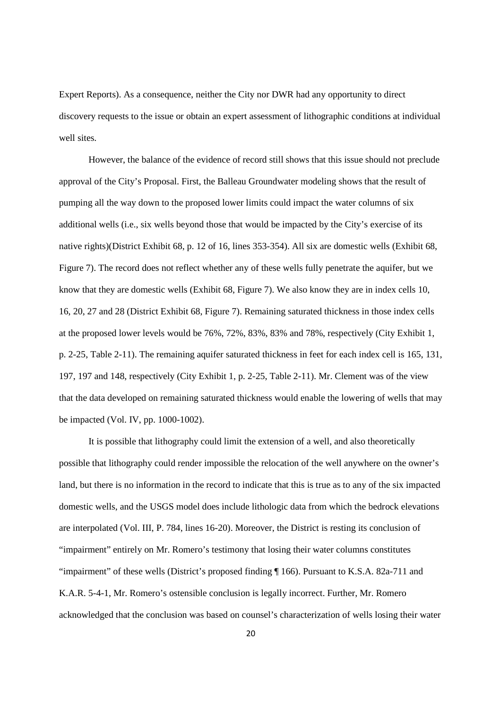Expert Reports). As a consequence, neither the City nor DWR had any opportunity to direct discovery requests to the issue or obtain an expert assessment of lithographic conditions at individual well sites.

However, the balance of the evidence of record still shows that this issue should not preclude approval of the City's Proposal. First, the Balleau Groundwater modeling shows that the result of pumping all the way down to the proposed lower limits could impact the water columns of six additional wells (i.e., six wells beyond those that would be impacted by the City's exercise of its native rights)(District Exhibit 68, p. 12 of 16, lines 353-354). All six are domestic wells (Exhibit 68, Figure 7). The record does not reflect whether any of these wells fully penetrate the aquifer, but we know that they are domestic wells (Exhibit 68, Figure 7). We also know they are in index cells 10, 16, 20, 27 and 28 (District Exhibit 68, Figure 7). Remaining saturated thickness in those index cells at the proposed lower levels would be 76%, 72%, 83%, 83% and 78%, respectively (City Exhibit 1, p. 2-25, Table 2-11). The remaining aquifer saturated thickness in feet for each index cell is 165, 131, 197, 197 and 148, respectively (City Exhibit 1, p. 2-25, Table 2-11). Mr. Clement was of the view that the data developed on remaining saturated thickness would enable the lowering of wells that may be impacted (Vol. IV, pp. 1000-1002).

It is possible that lithography could limit the extension of a well, and also theoretically possible that lithography could render impossible the relocation of the well anywhere on the owner's land, but there is no information in the record to indicate that this is true as to any of the six impacted domestic wells, and the USGS model does include lithologic data from which the bedrock elevations are interpolated (Vol. III, P. 784, lines 16-20). Moreover, the District is resting its conclusion of "impairment" entirely on Mr. Romero's testimony that losing their water columns constitutes "impairment" of these wells (District's proposed finding ¶ 166). Pursuant to K.S.A. 82a-711 and K.A.R. 5-4-1, Mr. Romero's ostensible conclusion is legally incorrect. Further, Mr. Romero acknowledged that the conclusion was based on counsel's characterization of wells losing their water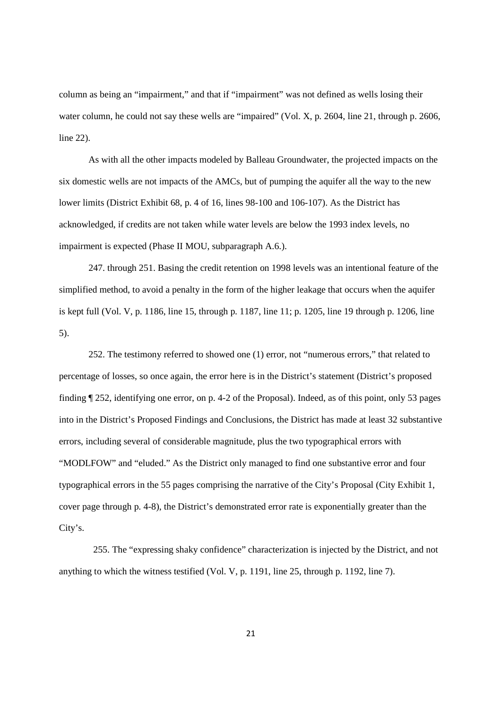column as being an "impairment," and that if "impairment" was not defined as wells losing their water column, he could not say these wells are "impaired" (Vol. X, p. 2604, line 21, through p. 2606, line 22).

As with all the other impacts modeled by Balleau Groundwater, the projected impacts on the six domestic wells are not impacts of the AMCs, but of pumping the aquifer all the way to the new lower limits (District Exhibit 68, p. 4 of 16, lines 98-100 and 106-107). As the District has acknowledged, if credits are not taken while water levels are below the 1993 index levels, no impairment is expected (Phase II MOU, subparagraph A.6.).

247. through 251. Basing the credit retention on 1998 levels was an intentional feature of the simplified method, to avoid a penalty in the form of the higher leakage that occurs when the aquifer is kept full (Vol. V, p. 1186, line 15, through p. 1187, line 11; p. 1205, line 19 through p. 1206, line 5).

252. The testimony referred to showed one (1) error, not "numerous errors," that related to percentage of losses, so once again, the error here is in the District's statement (District's proposed finding ¶ 252, identifying one error, on p. 4-2 of the Proposal). Indeed, as of this point, only 53 pages into in the District's Proposed Findings and Conclusions, the District has made at least 32 substantive errors, including several of considerable magnitude, plus the two typographical errors with "MODLFOW" and "eluded." As the District only managed to find one substantive error and four typographical errors in the 55 pages comprising the narrative of the City's Proposal (City Exhibit 1, cover page through p. 4-8), the District's demonstrated error rate is exponentially greater than the City's.

255. The "expressing shaky confidence" characterization is injected by the District, and not anything to which the witness testified (Vol. V, p. 1191, line 25, through p. 1192, line 7).

21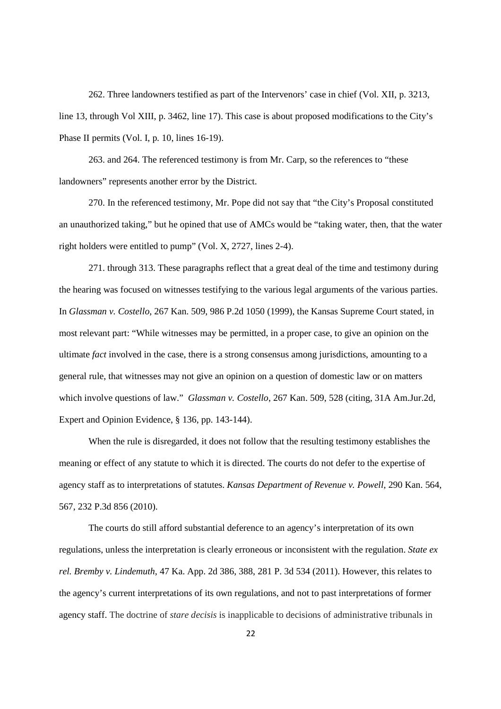262. Three landowners testified as part of the Intervenors' case in chief (Vol. XII, p. 3213, line 13, through Vol XIII, p. 3462, line 17). This case is about proposed modifications to the City's Phase II permits (Vol. I, p. 10, lines 16-19).

263. and 264. The referenced testimony is from Mr. Carp, so the references to "these landowners" represents another error by the District.

270. In the referenced testimony, Mr. Pope did not say that "the City's Proposal constituted an unauthorized taking," but he opined that use of AMCs would be "taking water, then, that the water right holders were entitled to pump" (Vol. X, 2727, lines 2-4).

271. through 313. These paragraphs reflect that a great deal of the time and testimony during the hearing was focused on witnesses testifying to the various legal arguments of the various parties. In *Glassman v. Costello*, 267 Kan. 509, 986 P.2d 1050 (1999), the Kansas Supreme Court stated, in most relevant part: "While witnesses may be permitted, in a proper case, to give an opinion on the ultimate *fact* involved in the case, there is a strong consensus among jurisdictions, amounting to a general rule, that witnesses may not give an opinion on a question of domestic law or on matters which involve questions of law." *Glassman v. Costello*, 267 Kan. 509, 528 (citing, 31A Am.Jur.2d, Expert and Opinion Evidence, § 136, pp. 143-144).

When the rule is disregarded, it does not follow that the resulting testimony establishes the meaning or effect of any statute to which it is directed. The courts do not defer to the expertise of agency staff as to interpretations of statutes. *Kansas Department of Revenue v. Powell*, 290 Kan. 564, 567, 232 P.3d 856 (2010).

The courts do still afford substantial deference to an agency's interpretation of its own regulations, unless the interpretation is clearly erroneous or inconsistent with the regulation. *State ex rel. Bremby v. Lindemuth*, 47 Ka. App. 2d 386, 388, 281 P. 3d 534 (2011). However, this relates to the agency's current interpretations of its own regulations, and not to past interpretations of former agency staff. The doctrine of *stare decisis* is inapplicable to decisions of administrative tribunals in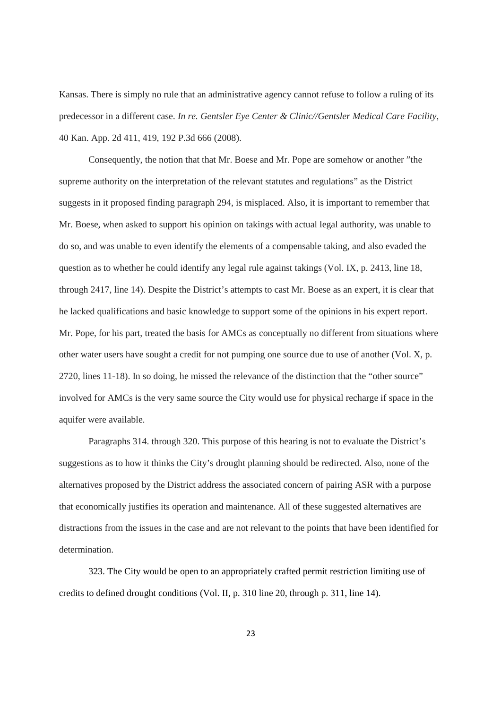Kansas. There is simply no rule that an administrative agency cannot refuse to follow a ruling of its predecessor in a different case. *In re. Gentsler Eye Center & Clinic//Gentsler Medical Care Facility*, 40 Kan. App. 2d 411, 419, 192 P.3d 666 (2008).

Consequently, the notion that that Mr. Boese and Mr. Pope are somehow or another "the supreme authority on the interpretation of the relevant statutes and regulations" as the District suggests in it proposed finding paragraph 294, is misplaced. Also, it is important to remember that Mr. Boese, when asked to support his opinion on takings with actual legal authority, was unable to do so, and was unable to even identify the elements of a compensable taking, and also evaded the question as to whether he could identify any legal rule against takings (Vol. IX, p. 2413, line 18, through 2417, line 14). Despite the District's attempts to cast Mr. Boese as an expert, it is clear that he lacked qualifications and basic knowledge to support some of the opinions in his expert report. Mr. Pope, for his part, treated the basis for AMCs as conceptually no different from situations where other water users have sought a credit for not pumping one source due to use of another (Vol. X, p. 2720, lines 11-18). In so doing, he missed the relevance of the distinction that the "other source" involved for AMCs is the very same source the City would use for physical recharge if space in the aquifer were available.

Paragraphs 314. through 320. This purpose of this hearing is not to evaluate the District's suggestions as to how it thinks the City's drought planning should be redirected. Also, none of the alternatives proposed by the District address the associated concern of pairing ASR with a purpose that economically justifies its operation and maintenance. All of these suggested alternatives are distractions from the issues in the case and are not relevant to the points that have been identified for determination.

323. The City would be open to an appropriately crafted permit restriction limiting use of credits to defined drought conditions (Vol. II, p. 310 line 20, through p. 311, line 14).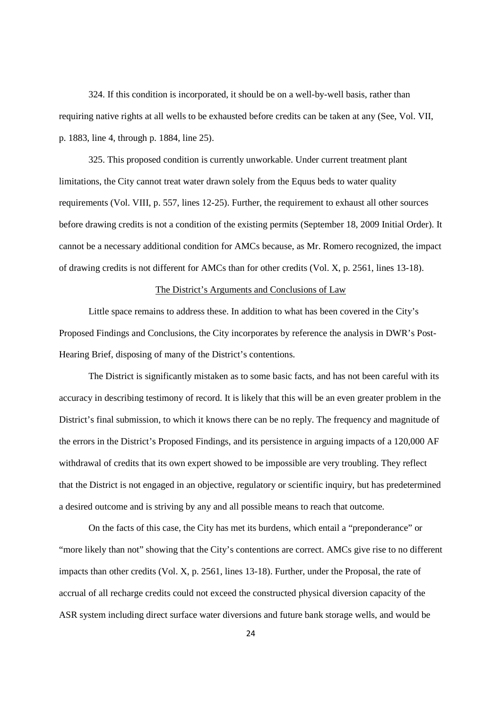324. If this condition is incorporated, it should be on a well-by-well basis, rather than requiring native rights at all wells to be exhausted before credits can be taken at any (See, Vol. VII, p. 1883, line 4, through p. 1884, line 25).

325. This proposed condition is currently unworkable. Under current treatment plant limitations, the City cannot treat water drawn solely from the Equus beds to water quality requirements (Vol. VIII, p. 557, lines 12-25). Further, the requirement to exhaust all other sources before drawing credits is not a condition of the existing permits (September 18, 2009 Initial Order). It cannot be a necessary additional condition for AMCs because, as Mr. Romero recognized, the impact of drawing credits is not different for AMCs than for other credits (Vol. X, p. 2561, lines 13-18).

## The District's Arguments and Conclusions of Law

Little space remains to address these. In addition to what has been covered in the City's Proposed Findings and Conclusions, the City incorporates by reference the analysis in DWR's Post-Hearing Brief, disposing of many of the District's contentions.

The District is significantly mistaken as to some basic facts, and has not been careful with its accuracy in describing testimony of record. It is likely that this will be an even greater problem in the District's final submission, to which it knows there can be no reply. The frequency and magnitude of the errors in the District's Proposed Findings, and its persistence in arguing impacts of a 120,000 AF withdrawal of credits that its own expert showed to be impossible are very troubling. They reflect that the District is not engaged in an objective, regulatory or scientific inquiry, but has predetermined a desired outcome and is striving by any and all possible means to reach that outcome.

On the facts of this case, the City has met its burdens, which entail a "preponderance" or "more likely than not" showing that the City's contentions are correct. AMCs give rise to no different impacts than other credits (Vol. X, p. 2561, lines 13-18). Further, under the Proposal, the rate of accrual of all recharge credits could not exceed the constructed physical diversion capacity of the ASR system including direct surface water diversions and future bank storage wells, and would be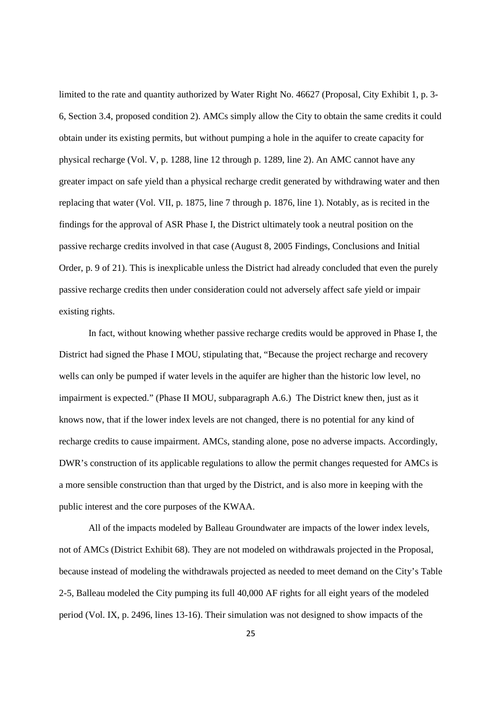limited to the rate and quantity authorized by Water Right No. 46627 (Proposal, City Exhibit 1, p. 3- 6, Section 3.4, proposed condition 2). AMCs simply allow the City to obtain the same credits it could obtain under its existing permits, but without pumping a hole in the aquifer to create capacity for physical recharge (Vol. V, p. 1288, line 12 through p. 1289, line 2). An AMC cannot have any greater impact on safe yield than a physical recharge credit generated by withdrawing water and then replacing that water (Vol. VII, p. 1875, line 7 through p. 1876, line 1). Notably, as is recited in the findings for the approval of ASR Phase I, the District ultimately took a neutral position on the passive recharge credits involved in that case (August 8, 2005 Findings, Conclusions and Initial Order, p. 9 of 21). This is inexplicable unless the District had already concluded that even the purely passive recharge credits then under consideration could not adversely affect safe yield or impair existing rights.

In fact, without knowing whether passive recharge credits would be approved in Phase I, the District had signed the Phase I MOU, stipulating that, "Because the project recharge and recovery wells can only be pumped if water levels in the aquifer are higher than the historic low level, no impairment is expected." (Phase II MOU, subparagraph A.6.) The District knew then, just as it knows now, that if the lower index levels are not changed, there is no potential for any kind of recharge credits to cause impairment. AMCs, standing alone, pose no adverse impacts. Accordingly, DWR's construction of its applicable regulations to allow the permit changes requested for AMCs is a more sensible construction than that urged by the District, and is also more in keeping with the public interest and the core purposes of the KWAA.

All of the impacts modeled by Balleau Groundwater are impacts of the lower index levels, not of AMCs (District Exhibit 68). They are not modeled on withdrawals projected in the Proposal, because instead of modeling the withdrawals projected as needed to meet demand on the City's Table 2-5, Balleau modeled the City pumping its full 40,000 AF rights for all eight years of the modeled period (Vol. IX, p. 2496, lines 13-16). Their simulation was not designed to show impacts of the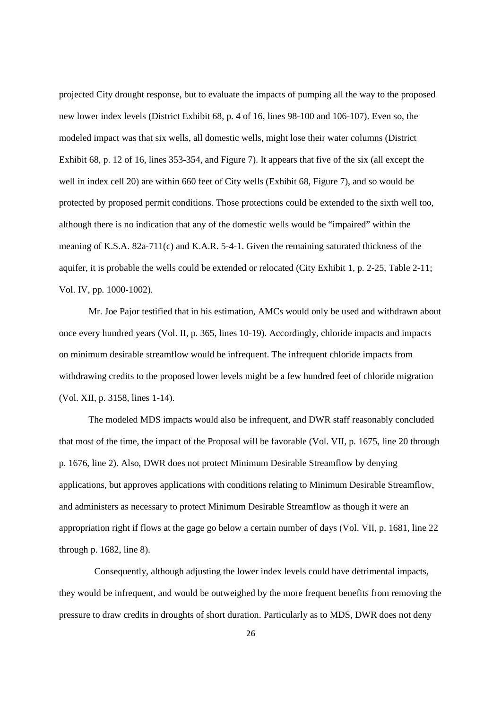projected City drought response, but to evaluate the impacts of pumping all the way to the proposed new lower index levels (District Exhibit 68, p. 4 of 16, lines 98-100 and 106-107). Even so, the modeled impact was that six wells, all domestic wells, might lose their water columns (District Exhibit 68, p. 12 of 16, lines 353-354, and Figure 7). It appears that five of the six (all except the well in index cell 20) are within 660 feet of City wells (Exhibit 68, Figure 7), and so would be protected by proposed permit conditions. Those protections could be extended to the sixth well too, although there is no indication that any of the domestic wells would be "impaired" within the meaning of K.S.A. 82a-711(c) and K.A.R. 5-4-1. Given the remaining saturated thickness of the aquifer, it is probable the wells could be extended or relocated (City Exhibit 1, p. 2-25, Table 2-11; Vol. IV, pp. 1000-1002).

Mr. Joe Pajor testified that in his estimation, AMCs would only be used and withdrawn about once every hundred years (Vol. II, p. 365, lines 10-19). Accordingly, chloride impacts and impacts on minimum desirable streamflow would be infrequent. The infrequent chloride impacts from withdrawing credits to the proposed lower levels might be a few hundred feet of chloride migration (Vol. XII, p. 3158, lines 1-14).

The modeled MDS impacts would also be infrequent, and DWR staff reasonably concluded that most of the time, the impact of the Proposal will be favorable (Vol. VII, p. 1675, line 20 through p. 1676, line 2). Also, DWR does not protect Minimum Desirable Streamflow by denying applications, but approves applications with conditions relating to Minimum Desirable Streamflow, and administers as necessary to protect Minimum Desirable Streamflow as though it were an appropriation right if flows at the gage go below a certain number of days (Vol. VII, p. 1681, line 22 through p. 1682, line 8).

Consequently, although adjusting the lower index levels could have detrimental impacts, they would be infrequent, and would be outweighed by the more frequent benefits from removing the pressure to draw credits in droughts of short duration. Particularly as to MDS, DWR does not deny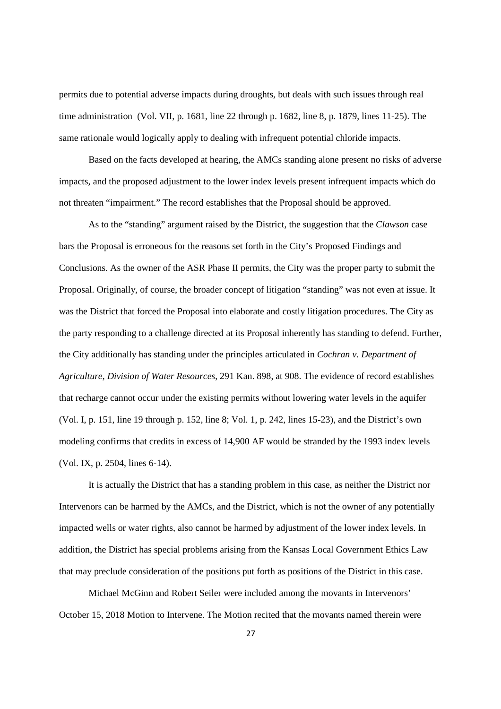permits due to potential adverse impacts during droughts, but deals with such issues through real time administration (Vol. VII, p. 1681, line 22 through p. 1682, line 8, p. 1879, lines 11-25). The same rationale would logically apply to dealing with infrequent potential chloride impacts.

Based on the facts developed at hearing, the AMCs standing alone present no risks of adverse impacts, and the proposed adjustment to the lower index levels present infrequent impacts which do not threaten "impairment." The record establishes that the Proposal should be approved.

As to the "standing" argument raised by the District, the suggestion that the *Clawson* case bars the Proposal is erroneous for the reasons set forth in the City's Proposed Findings and Conclusions. As the owner of the ASR Phase II permits, the City was the proper party to submit the Proposal. Originally, of course, the broader concept of litigation "standing" was not even at issue. It was the District that forced the Proposal into elaborate and costly litigation procedures. The City as the party responding to a challenge directed at its Proposal inherently has standing to defend. Further, the City additionally has standing under the principles articulated in *Cochran v. Department of Agriculture, Division of Water Resources*, 291 Kan. 898, at 908. The evidence of record establishes that recharge cannot occur under the existing permits without lowering water levels in the aquifer (Vol. I, p. 151, line 19 through p. 152, line 8; Vol. 1, p. 242, lines 15-23), and the District's own modeling confirms that credits in excess of 14,900 AF would be stranded by the 1993 index levels (Vol. IX, p. 2504, lines 6-14).

It is actually the District that has a standing problem in this case, as neither the District nor Intervenors can be harmed by the AMCs, and the District, which is not the owner of any potentially impacted wells or water rights, also cannot be harmed by adjustment of the lower index levels. In addition, the District has special problems arising from the Kansas Local Government Ethics Law that may preclude consideration of the positions put forth as positions of the District in this case.

Michael McGinn and Robert Seiler were included among the movants in Intervenors' October 15, 2018 Motion to Intervene. The Motion recited that the movants named therein were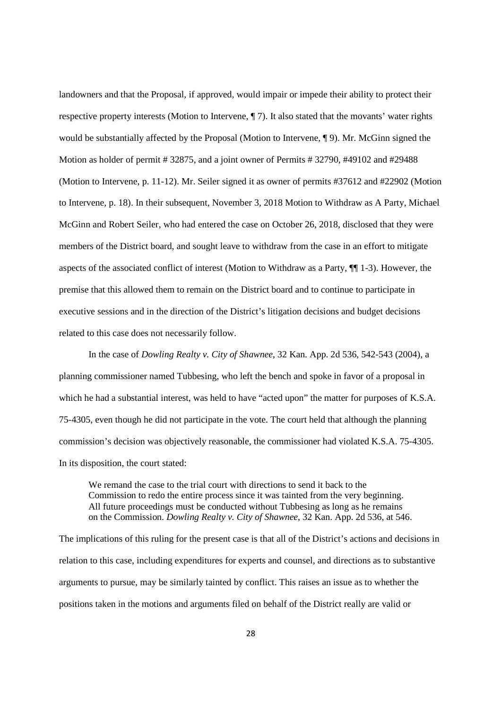landowners and that the Proposal, if approved, would impair or impede their ability to protect their respective property interests (Motion to Intervene, ¶ 7). It also stated that the movants' water rights would be substantially affected by the Proposal (Motion to Intervene, ¶ 9). Mr. McGinn signed the Motion as holder of permit # 32875, and a joint owner of Permits # 32790, #49102 and #29488 (Motion to Intervene, p. 11-12). Mr. Seiler signed it as owner of permits #37612 and #22902 (Motion to Intervene, p. 18). In their subsequent, November 3, 2018 Motion to Withdraw as A Party, Michael McGinn and Robert Seiler, who had entered the case on October 26, 2018, disclosed that they were members of the District board, and sought leave to withdraw from the case in an effort to mitigate aspects of the associated conflict of interest (Motion to Withdraw as a Party, ¶¶ 1-3). However, the premise that this allowed them to remain on the District board and to continue to participate in executive sessions and in the direction of the District's litigation decisions and budget decisions related to this case does not necessarily follow.

In the case of *Dowling Realty v. City of Shawnee*, 32 Kan. App. 2d 536, 542-543 (2004), a planning commissioner named Tubbesing, who left the bench and spoke in favor of a proposal in which he had a substantial interest, was held to have "acted upon" the matter for purposes of K.S.A. 75-4305, even though he did not participate in the vote. The court held that although the planning commission's decision was objectively reasonable, the commissioner had violated K.S.A. 75-4305. In its disposition, the court stated:

We remand the case to the trial court with directions to send it back to the Commission to redo the entire process since it was tainted from the very beginning. All future proceedings must be conducted without Tubbesing as long as he remains on the Commission. *Dowling Realty v. City of Shawnee*, 32 Kan. App. 2d 536, at 546.

The implications of this ruling for the present case is that all of the District's actions and decisions in relation to this case, including expenditures for experts and counsel, and directions as to substantive arguments to pursue, may be similarly tainted by conflict. This raises an issue as to whether the positions taken in the motions and arguments filed on behalf of the District really are valid or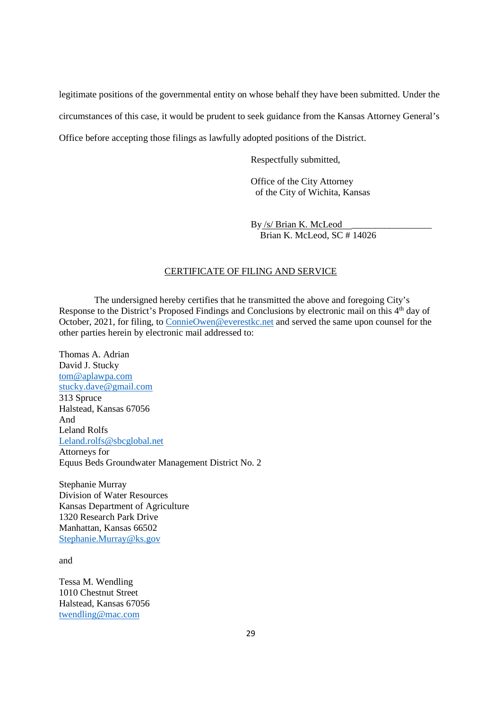legitimate positions of the governmental entity on whose behalf they have been submitted. Under the circumstances of this case, it would be prudent to seek guidance from the Kansas Attorney General's Office before accepting those filings as lawfully adopted positions of the District.

Respectfully submitted,

Office of the City Attorney of the City of Wichita, Kansas

By /s/ Brian K. McLeod Brian K. McLeod, SC # 14026

# CERTIFICATE OF FILING AND SERVICE

The undersigned hereby certifies that he transmitted the above and foregoing City's Response to the District's Proposed Findings and Conclusions by electronic mail on this 4<sup>th</sup> day of October, 2021, for filing, to ConnieOwen@everestkc.net and served the same upon counsel for the other parties herein by electronic mail addressed to:

Thomas A. Adrian David J. Stucky tom@aplawpa.com stucky.dave@gmail.com 313 Spruce Halstead, Kansas 67056 And Leland Rolfs Leland.rolfs@sbcglobal.net Attorneys for Equus Beds Groundwater Management District No. 2

Stephanie Murray Division of Water Resources Kansas Department of Agriculture 1320 Research Park Drive Manhattan, Kansas 66502 Stephanie.Murray@ks.gov

and

Tessa M. Wendling 1010 Chestnut Street Halstead, Kansas 67056 twendling@mac.com